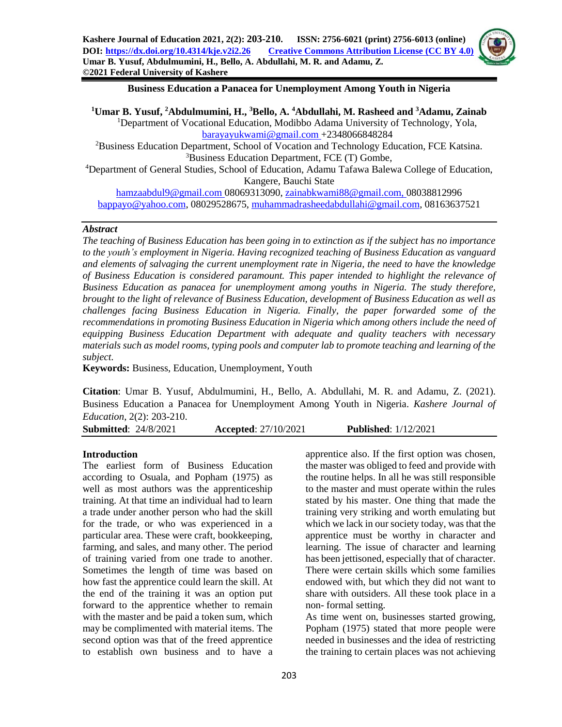

#### **Business Education a Panacea for Unemployment Among Youth in Nigeria**

**Umar B. Yusuf, <sup>2</sup>Abdulmumini, H., <sup>3</sup>Bello, A. <sup>4</sup>Abdullahi, M. Rasheed and <sup>3</sup>Adamu, Zainab** Department of Vocational Education, Modibbo Adama University of Technology, Yola, [barayayukwami@gmail.com](mailto:barayayukwami@gmail.com) +2348066848284 Business Education Department, School of Vocation and Technology Education, FCE Katsina. Business Education Department, FCE (T) Gombe, Department of General Studies, School of Education, Adamu Tafawa Balewa College of Education, Kangere, Bauchi State

[hamzaabdul9@gmail.com](mailto:hamzaabdul9@gmail.com) 08069313090, [zainabkwami88@gmail.com,](mailto:zainabkwami88@gmail.com) 08038812996 [bappayo@yahoo.com,](mailto:bappayo@yahoo.com) 08029528675, [muhammadrasheedabdullahi@gmail.com,](mailto:muhammadrasheedabdullahi@gmail.com) 08163637521

#### *Abstract*

*The teaching of Business Education has been going in to extinction as if the subject has no importance to the youth's employment in Nigeria. Having recognized teaching of Business Education as vanguard and elements of salvaging the current unemployment rate in Nigeria, the need to have the knowledge of Business Education is considered paramount. This paper intended to highlight the relevance of Business Education as panacea for unemployment among youths in Nigeria. The study therefore, brought to the light of relevance of Business Education, development of Business Education as well as challenges facing Business Education in Nigeria. Finally, the paper forwarded some of the recommendations in promoting Business Education in Nigeria which among others include the need of equipping Business Education Department with adequate and quality teachers with necessary materials such as model rooms, typing pools and computer lab to promote teaching and learning of the subject.*

**Keywords:** Business, Education, Unemployment, Youth

**Citation**: Umar B. Yusuf, Abdulmumini, H., Bello, A. Abdullahi, M. R. and Adamu, Z. (2021). Business Education a Panacea for Unemployment Among Youth in Nigeria. *Kashere Journal of Education*, 2(2): 203-210.

**Submitted**: 24/8/2021 **Accepted**: 27/10/2021 **Published**: 1/12/2021

#### **Introduction**

The earliest form of Business Education according to Osuala, and Popham (1975) as well as most authors was the apprenticeship training. At that time an individual had to learn a trade under another person who had the skill for the trade, or who was experienced in a particular area. These were craft, bookkeeping, farming, and sales, and many other. The period of training varied from one trade to another. Sometimes the length of time was based on how fast the apprentice could learn the skill. At the end of the training it was an option put forward to the apprentice whether to remain with the master and be paid a token sum, which may be complimented with material items. The second option was that of the freed apprentice to establish own business and to have a

apprentice also. If the first option was chosen, the master was obliged to feed and provide with the routine helps. In all he was still responsible to the master and must operate within the rules stated by his master. One thing that made the training very striking and worth emulating but which we lack in our society today, was that the apprentice must be worthy in character and learning. The issue of character and learning has been jettisoned, especially that of character. There were certain skills which some families endowed with, but which they did not want to share with outsiders. All these took place in a non- formal setting.

As time went on, businesses started growing, Popham (1975) stated that more people were needed in businesses and the idea of restricting the training to certain places was not achieving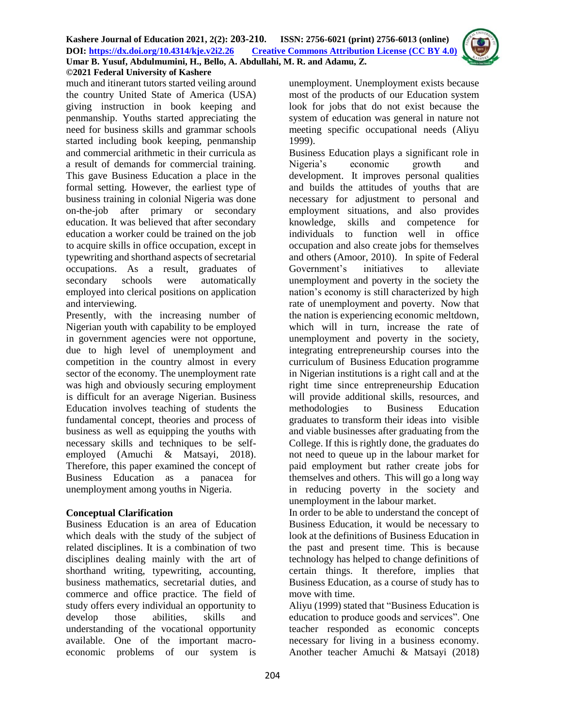

much and itinerant tutors started veiling around the country United State of America (USA) giving instruction in book keeping and penmanship. Youths started appreciating the need for business skills and grammar schools started including book keeping, penmanship and commercial arithmetic in their curricula as a result of demands for commercial training. This gave Business Education a place in the formal setting. However, the earliest type of business training in colonial Nigeria was done on-the-job after primary or secondary education. It was believed that after secondary education a worker could be trained on the job to acquire skills in office occupation, except in typewriting and shorthand aspects of secretarial occupations. As a result, graduates of secondary schools were automatically employed into clerical positions on application and interviewing.

Presently, with the increasing number of Nigerian youth with capability to be employed in government agencies were not opportune, due to high level of unemployment and competition in the country almost in every sector of the economy. The unemployment rate was high and obviously securing employment is difficult for an average Nigerian. Business Education involves teaching of students the fundamental concept, theories and process of business as well as equipping the youths with necessary skills and techniques to be selfemployed (Amuchi & Matsayi, 2018). Therefore, this paper examined the concept of Business Education as a panacea for unemployment among youths in Nigeria.

### **Conceptual Clarification**

Business Education is an area of Education which deals with the study of the subject of related disciplines. It is a combination of two disciplines dealing mainly with the art of shorthand writing, typewriting, accounting, business mathematics, secretarial duties, and commerce and office practice. The field of study offers every individual an opportunity to develop those abilities, skills and understanding of the vocational opportunity available. One of the important macroeconomic problems of our system is

unemployment. Unemployment exists because most of the products of our Education system look for jobs that do not exist because the system of education was general in nature not meeting specific occupational needs (Aliyu 1999).

Business Education plays a significant role in Nigeria's economic growth and development. It improves personal qualities and builds the attitudes of youths that are necessary for adjustment to personal and employment situations, and also provides knowledge, skills and competence for individuals to function well in office occupation and also create jobs for themselves and others (Amoor, 2010). In spite of Federal Government's initiatives to alleviate unemployment and poverty in the society the nation's economy is still characterized by high rate of unemployment and poverty. Now that the nation is experiencing economic meltdown, which will in turn, increase the rate of unemployment and poverty in the society, integrating entrepreneurship courses into the curriculum of Business Education programme in Nigerian institutions is a right call and at the right time since entrepreneurship Education will provide additional skills, resources, and methodologies to Business Education graduates to transform their ideas into visible and viable businesses after graduating from the College. If this is rightly done, the graduates do not need to queue up in the labour market for paid employment but rather create jobs for themselves and others. This will go a long way in reducing poverty in the society and unemployment in the labour market.

In order to be able to understand the concept of Business Education, it would be necessary to look at the definitions of Business Education in the past and present time. This is because technology has helped to change definitions of certain things. It therefore, implies that Business Education, as a course of study has to move with time.

Aliyu (1999) stated that "Business Education is education to produce goods and services". One teacher responded as economic concepts necessary for living in a business economy. Another teacher Amuchi & Matsayi (2018)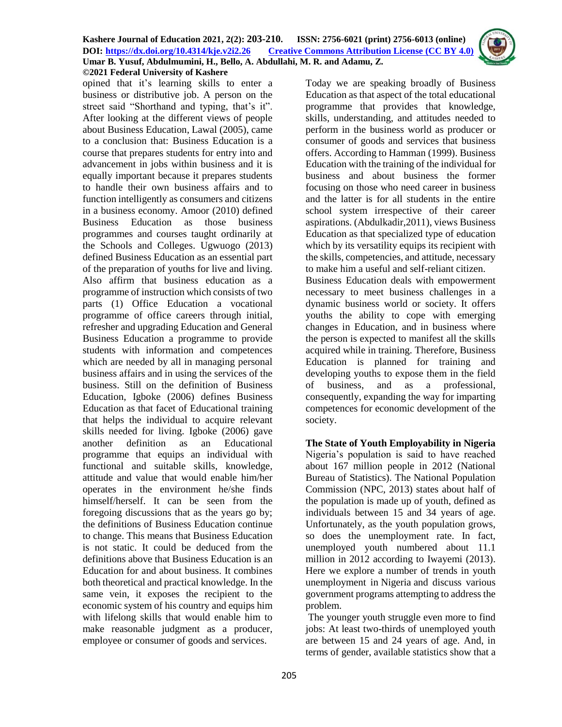opined that it's learning skills to enter a business or distributive job. A person on the street said "Shorthand and typing, that's it". After looking at the different views of people about Business Education, Lawal (2005), came to a conclusion that: Business Education is a course that prepares students for entry into and advancement in jobs within business and it is equally important because it prepares students to handle their own business affairs and to function intelligently as consumers and citizens in a business economy. Amoor (2010) defined Business Education as those business programmes and courses taught ordinarily at the Schools and Colleges. Ugwuogo (2013) defined Business Education as an essential part of the preparation of youths for live and living. Also affirm that business education as a programme of instruction which consists of two parts (1) Office Education a vocational programme of office careers through initial, refresher and upgrading Education and General Business Education a programme to provide students with information and competences which are needed by all in managing personal business affairs and in using the services of the business. Still on the definition of Business Education, Igboke (2006) defines Business Education as that facet of Educational training that helps the individual to acquire relevant skills needed for living. Igboke (2006) gave another definition as an Educational programme that equips an individual with functional and suitable skills, knowledge, attitude and value that would enable him/her operates in the environment he/she finds himself/herself. It can be seen from the foregoing discussions that as the years go by; the definitions of Business Education continue to change. This means that Business Education is not static. It could be deduced from the definitions above that Business Education is an Education for and about business. It combines both theoretical and practical knowledge. In the same vein, it exposes the recipient to the economic system of his country and equips him with lifelong skills that would enable him to make reasonable judgment as a producer, employee or consumer of goods and services.

Today we are speaking broadly of Business Education as that aspect of the total educational programme that provides that knowledge, skills, understanding, and attitudes needed to perform in the business world as producer or consumer of goods and services that business offers. According to Hamman (1999). Business Education with the training of the individual for business and about business the former focusing on those who need career in business and the latter is for all students in the entire school system irrespective of their career aspirations. (Abdulkadir,2011), views Business Education as that specialized type of education which by its versatility equips its recipient with the skills, competencies, and attitude, necessary to make him a useful and self-reliant citizen. Business Education deals with empowerment necessary to meet business challenges in a dynamic business world or society. It offers youths the ability to cope with emerging changes in Education, and in business where the person is expected to manifest all the skills acquired while in training. Therefore, Business Education is planned for training and developing youths to expose them in the field of business, and as a professional, consequently, expanding the way for imparting competences for economic development of the society.

**The State of Youth Employability in Nigeria** Nigeria's population is said to have reached about 167 million people in 2012 (National Bureau of Statistics). The National Population Commission (NPC, 2013) states about half of the population is made up of youth, defined as individuals between 15 and 34 years of age. Unfortunately, as the youth population grows, so does the unemployment rate. In fact, unemployed youth numbered about 11.1 million in 2012 according to Iwayemi (2013). Here we explore a number of trends in youth unemployment in Nigeria and discuss various government programs attempting to address the problem.

The younger youth struggle even more to find jobs: At least two-thirds of unemployed youth are between 15 and 24 years of age. And, in terms of gender, available statistics show that a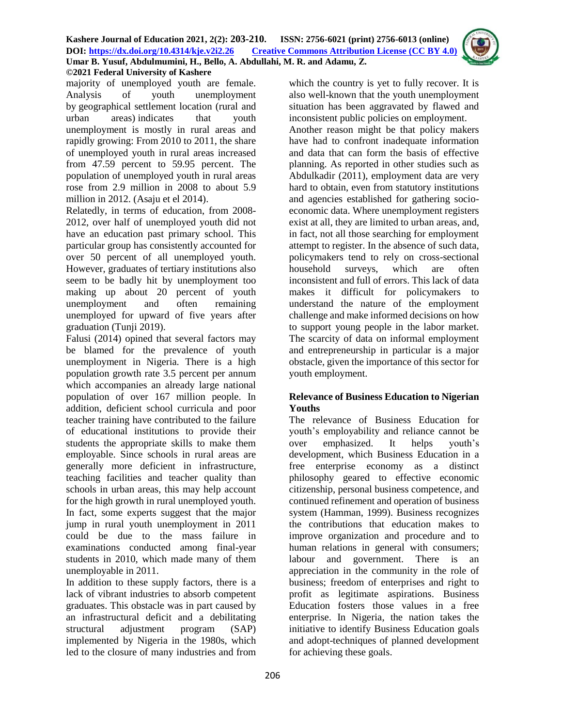

majority of unemployed youth are female. Analysis of youth unemployment by geographical settlement location (rural and urban areas) indicates that youth unemployment is mostly in rural areas and rapidly growing: From 2010 to 2011, the share of unemployed youth in rural areas increased from 47.59 percent to 59.95 percent. The population of unemployed youth in rural areas rose from 2.9 million in 2008 to about 5.9 million in 2012. (Asaju et el 2014).

Relatedly, in terms of education, from 2008- 2012, over half of unemployed youth did not have an education past primary school. This particular group has consistently accounted for over 50 percent of all unemployed youth. However, graduates of tertiary institutions also seem to be badly hit by unemployment too making up about 20 percent of youth unemployment and often remaining unemployed for upward of five years after graduation (Tunji 2019).

Falusi (2014) opined that several factors may be blamed for the prevalence of youth unemployment in Nigeria. There is a high population growth rate 3.5 percent per annum which accompanies an already large national population of over 167 million people. In addition, deficient school curricula and poor teacher training have contributed to the failure of educational institutions to provide their students the appropriate skills to make them employable. Since schools in rural areas are generally more deficient in infrastructure, teaching facilities and teacher quality than schools in urban areas, this may help account for the high growth in rural unemployed youth. In fact, some experts suggest that the major jump in rural youth unemployment in 2011 could be due to the mass failure in examinations conducted among final-year students in 2010, which made many of them unemployable in 2011.

In addition to these supply factors, there is a lack of vibrant industries to absorb competent graduates. This obstacle was in part caused by an infrastructural deficit and a debilitating structural adjustment program (SAP) implemented by Nigeria in the 1980s, which led to the closure of many industries and from

which the country is yet to fully recover. It is also well-known that the youth unemployment situation has been aggravated by flawed and inconsistent public policies on employment.

Another reason might be that policy makers have had to confront inadequate information and data that can form the basis of effective planning. As reported in other studies such as Abdulkadir (2011), employment data are very hard to obtain, even from statutory institutions and agencies established for gathering socioeconomic data. Where unemployment registers exist at all, they are limited to urban areas, and, in fact, not all those searching for employment attempt to register. In the absence of such data, policymakers tend to rely on cross-sectional household surveys, which are often inconsistent and full of errors. This lack of data makes it difficult for policymakers to understand the nature of the employment challenge and make informed decisions on how to support young people in the labor market. The scarcity of data on informal employment and entrepreneurship in particular is a major obstacle, given the importance of this sector for youth employment.

### **Relevance of Business Education to Nigerian Youths**

The relevance of Business Education for youth's employability and reliance cannot be over emphasized. It helps youth's development, which Business Education in a free enterprise economy as a distinct philosophy geared to effective economic citizenship, personal business competence, and continued refinement and operation of business system (Hamman, 1999). Business recognizes the contributions that education makes to improve organization and procedure and to human relations in general with consumers; labour and government. There is an appreciation in the community in the role of business; freedom of enterprises and right to profit as legitimate aspirations. Business Education fosters those values in a free enterprise. In Nigeria, the nation takes the initiative to identify Business Education goals and adopt-techniques of planned development for achieving these goals.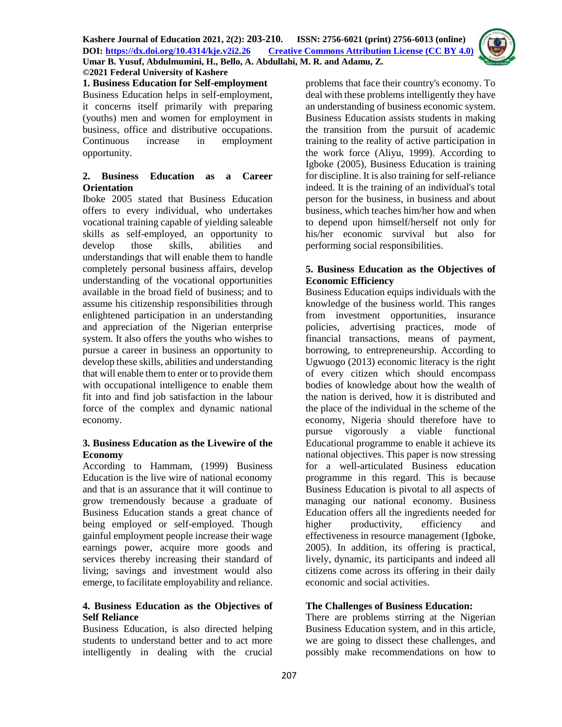**1. Business Education for Self-employment** Business Education helps in self-employment, it concerns itself primarily with preparing (youths) men and women for employment in business, office and distributive occupations. Continuous increase in employment opportunity.

### **2. Business Education as a Career Orientation**

Iboke 2005 stated that Business Education offers to every individual, who undertakes vocational training capable of yielding saleable skills as self-employed, an opportunity to develop those skills, abilities and understandings that will enable them to handle completely personal business affairs, develop understanding of the vocational opportunities available in the broad field of business; and to assume his citizenship responsibilities through enlightened participation in an understanding and appreciation of the Nigerian enterprise system. It also offers the youths who wishes to pursue a career in business an opportunity to develop these skills, abilities and understanding that will enable them to enter or to provide them with occupational intelligence to enable them fit into and find job satisfaction in the labour force of the complex and dynamic national economy.

# **3. Business Education as the Livewire of the Economy**

According to Hammam, (1999) Business Education is the live wire of national economy and that is an assurance that it will continue to grow tremendously because a graduate of Business Education stands a great chance of being employed or self-employed. Though gainful employment people increase their wage earnings power, acquire more goods and services thereby increasing their standard of living; savings and investment would also emerge, to facilitate employability and reliance.

### **4. Business Education as the Objectives of Self Reliance**

Business Education, is also directed helping students to understand better and to act more intelligently in dealing with the crucial

problems that face their country's economy. To deal with these problems intelligently they have an understanding of business economic system. Business Education assists students in making the transition from the pursuit of academic training to the reality of active participation in the work force (Aliyu, 1999). According to Igboke (2005), Business Education is training for discipline. It is also training for self-reliance indeed. It is the training of an individual's total person for the business, in business and about business, which teaches him/her how and when to depend upon himself/herself not only for his/her economic survival but also for performing social responsibilities.

### **5. Business Education as the Objectives of Economic Efficiency**

Business Education equips individuals with the knowledge of the business world. This ranges from investment opportunities, insurance policies, advertising practices, mode of financial transactions, means of payment, borrowing, to entrepreneurship. According to Ugwuogo (2013) economic literacy is the right of every citizen which should encompass bodies of knowledge about how the wealth of the nation is derived, how it is distributed and the place of the individual in the scheme of the economy, Nigeria should therefore have to pursue vigorously a viable functional Educational programme to enable it achieve its national objectives. This paper is now stressing for a well-articulated Business education programme in this regard. This is because Business Education is pivotal to all aspects of managing our national economy. Business Education offers all the ingredients needed for higher productivity, efficiency and effectiveness in resource management (Igboke, 2005). In addition, its offering is practical, lively, dynamic, its participants and indeed all citizens come across its offering in their daily economic and social activities.

# **The Challenges of Business Education:**

There are problems stirring at the Nigerian Business Education system, and in this article, we are going to dissect these challenges, and possibly make recommendations on how to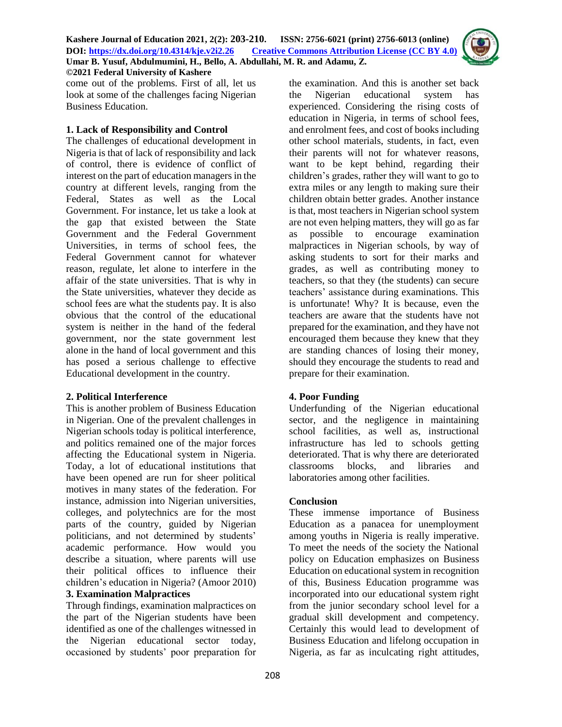

come out of the problems. First of all, let us look at some of the challenges facing Nigerian Business Education.

### **1. Lack of Responsibility and Control**

The challenges of educational development in Nigeria is that of lack of responsibility and lack of control, there is evidence of conflict of interest on the part of education managers in the country at different levels, ranging from the Federal, States as well as the Local Government. For instance, let us take a look at the gap that existed between the State Government and the Federal Government Universities, in terms of school fees, the Federal Government cannot for whatever reason, regulate, let alone to interfere in the affair of the state universities. That is why in the State universities, whatever they decide as school fees are what the students pay. It is also obvious that the control of the educational system is neither in the hand of the federal government, nor the state government lest alone in the hand of local government and this has posed a serious challenge to effective Educational development in the country.

### **2. Political Interference**

This is another problem of Business Education in Nigerian. One of the prevalent challenges in Nigerian schools today is political interference, and politics remained one of the major forces affecting the Educational system in Nigeria. Today, a lot of educational institutions that have been opened are run for sheer political motives in many states of the federation. For instance, admission into Nigerian universities, colleges, and polytechnics are for the most parts of the country, guided by Nigerian politicians, and not determined by students' academic performance. How would you describe a situation, where parents will use their political offices to influence their children's education in Nigeria? (Amoor 2010)

### **3. Examination Malpractices**

Through findings, examination malpractices on the part of the Nigerian students have been identified as one of the challenges witnessed in the Nigerian educational sector today, occasioned by students' poor preparation for

the examination. And this is another set back the Nigerian educational system has experienced. Considering the rising costs of education in Nigeria, in terms of school fees, and enrolment fees, and cost of books including other school materials, students, in fact, even their parents will not for whatever reasons, want to be kept behind, regarding their children's grades, rather they will want to go to extra miles or any length to making sure their children obtain better grades. Another instance is that, most teachers in Nigerian school system are not even helping matters, they will go as far as possible to encourage examination malpractices in Nigerian schools, by way of asking students to sort for their marks and grades, as well as contributing money to teachers, so that they (the students) can secure teachers' assistance during examinations. This is unfortunate! Why? It is because, even the teachers are aware that the students have not prepared for the examination, and they have not encouraged them because they knew that they are standing chances of losing their money, should they encourage the students to read and prepare for their examination.

# **4. Poor Funding**

Underfunding of the Nigerian educational sector, and the negligence in maintaining school facilities, as well as, instructional infrastructure has led to schools getting deteriorated. That is why there are deteriorated classrooms blocks, and libraries and laboratories among other facilities.

# **Conclusion**

These immense importance of Business Education as a panacea for unemployment among youths in Nigeria is really imperative. To meet the needs of the society the National policy on Education emphasizes on Business Education on educational system in recognition of this, Business Education programme was incorporated into our educational system right from the junior secondary school level for a gradual skill development and competency. Certainly this would lead to development of Business Education and lifelong occupation in Nigeria, as far as inculcating right attitudes,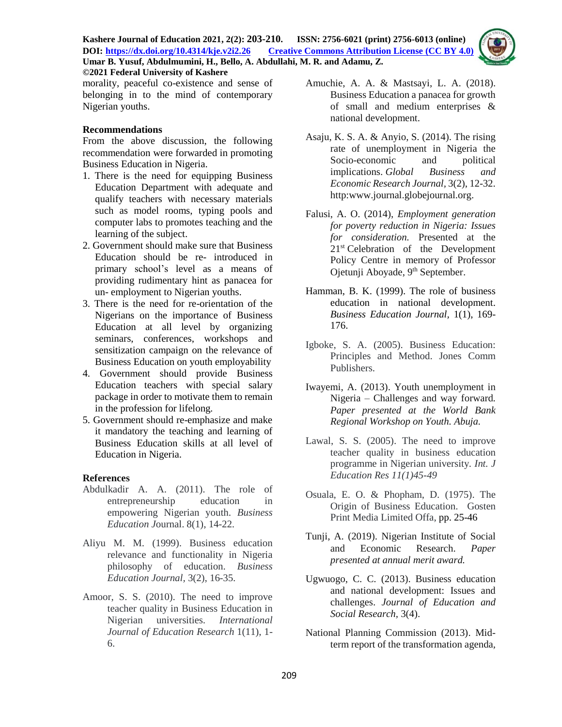

morality, peaceful co-existence and sense of belonging in to the mind of contemporary Nigerian youths.

### **Recommendations**

From the above discussion, the following recommendation were forwarded in promoting Business Education in Nigeria.

- 1. There is the need for equipping Business Education Department with adequate and qualify teachers with necessary materials such as model rooms, typing pools and computer labs to promotes teaching and the learning of the subject.
- 2. Government should make sure that Business Education should be re- introduced in primary school's level as a means of providing rudimentary hint as panacea for un- employment to Nigerian youths.
- 3. There is the need for re-orientation of the Nigerians on the importance of Business Education at all level by organizing seminars, conferences, workshops and sensitization campaign on the relevance of Business Education on youth employability
- 4. Government should provide Business Education teachers with special salary package in order to motivate them to remain in the profession for lifelong.
- 5. Government should re-emphasize and make it mandatory the teaching and learning of Business Education skills at all level of Education in Nigeria.

### **References**

- Abdulkadir A. A. (2011). The role of entrepreneurship education in empowering Nigerian youth. *Business Education J*ournal. 8(1), 14-22.
- Aliyu M. M. (1999). Business education relevance and functionality in Nigeria philosophy of education. *Business Education Journal,* 3(2), 16-35.
- Amoor, S. S. (2010). The need to improve teacher quality in Business Education in Nigerian universities. *International Journal of Education Research* 1(11), 1- 6.
- Amuchie, A. A. & Mastsayi, L. A. (2018). Business Education a panacea for growth of small and medium enterprises & national development.
- Asaju, K. S. A. & Anyio, S. (2014). The rising rate of unemployment in Nigeria the Socio-economic and political implications. *Global Business and Economic Research Journal,* 3(2), 12-32. http:www.journal.globejournal.org.
- Falusi, A. O. (2014), *Employment generation for poverty reduction in Nigeria: Issues for consideration.* Presented at the 21st Celebration of the Development Policy Centre in memory of Professor Ojetunji Aboyade, 9<sup>th</sup> September.
- Hamman, B. K. (1999). The role of business education in national development. *Business Education Journal,* 1(1), 169- 176.
- Igboke, S. A. (2005). Business Education: Principles and Method. Jones Comm Publishers.
- Iwayemi, A. (2013). Youth unemployment in Nigeria – Challenges and way forward*. Paper presented at the World Bank Regional Workshop on Youth. Abuja.*
- Lawal, S. S. (2005). The need to improve teacher quality in business education programme in Nigerian university*. Int. J Education Res 11(1)45-49*
- Osuala, E. O. & Phopham, D. (1975). The Origin of Business Education. Gosten Print Media Limited Offa, pp. 25-46
- Tunji, A. (2019). Nigerian Institute of Social and Economic Research. *Paper presented at annual merit award.*
- Ugwuogo, C. C. (2013). Business education and national development: Issues and challenges. *Journal of Education and Social Research,* 3(4).
- National Planning Commission (2013). Midterm report of the transformation agenda*,*